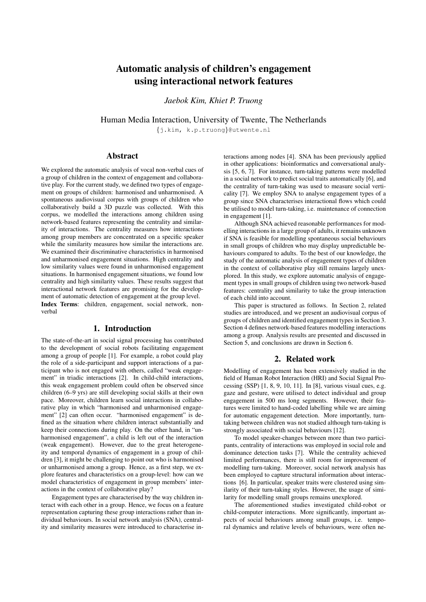# Automatic analysis of children's engagement using interactional network features

*Jaebok Kim, Khiet P. Truong*

Human Media Interaction, University of Twente, The Netherlands

{j.kim, k.p.truong}@utwente.nl

### Abstract

We explored the automatic analysis of vocal non-verbal cues of a group of children in the context of engagement and collaborative play. For the current study, we defined two types of engagement on groups of children: harmonised and unharmonised. A spontaneous audiovisual corpus with groups of children who collaboratively build a 3D puzzle was collected. With this corpus, we modelled the interactions among children using network-based features representing the centrality and similarity of interactions. The centrality measures how interactions among group members are concentrated on a specific speaker while the similarity measures how similar the interactions are. We examined their discriminative characteristics in harmonised and unharmonised engagement situations. High centrality and low similarity values were found in unharmonised engagement situations. In harmonised engagement situations, we found low centrality and high similarity values. These results suggest that interactional network features are promising for the development of automatic detection of engagement at the group level. Index Terms: children, engagement, social network, nonverbal

# 1. Introduction

The state-of-the-art in social signal processing has contributed to the development of social robots facilitating engagement among a group of people [1]. For example, a robot could play the role of a side-participant and support interactions of a participant who is not engaged with others, called "weak engagement" in triadic interactions [2]. In child-child interactions, this weak engagement problem could often be observed since children (6–9 yrs) are still developing social skills at their own pace. Moreover, children learn social interactions in collaborative play in which "harmonised and unharmonised engagement" [2] can often occur. "harmonised engagement" is defined as the situation where children interact substantially and keep their connections during play. On the other hand, in "unharmonised engagement", a child is left out of the interaction (weak engagement). However, due to the great heterogeneity and temporal dynamics of engagement in a group of children [3], it might be challenging to point out who is harmonised or unharmonised among a group. Hence, as a first step, we explore features and characteristics on a group-level: how can we model characteristics of engagement in group members' interactions in the context of collaborative play?

Engagement types are characterised by the way children interact with each other in a group. Hence, we focus on a feature representation capturing these group interactions rather than individual behaviours. In social network analysis (SNA), centrality and similarity measures were introduced to characterise in-

teractions among nodes [4]. SNA has been previously applied in other applications: bioinformatics and conversational analysis [5, 6, 7]. For instance, turn-taking patterns were modelled in a social network to predict social traits automatically [6], and the centrality of turn-taking was used to measure social verticality [7]. We employ SNA to analyse engagement types of a group since SNA characterises interactional flows which could be utilised to model turn-taking, i.e. maintenance of connection in engagement [1].

Although SNA achieved reasonable performances for modelling interactions in a large group of adults, it remains unknown if SNA is feasible for modelling spontaneous social behaviours in small groups of children who may display unpredictable behaviours compared to adults. To the best of our knowledge, the study of the automatic analysis of engagement types of children in the context of collaborative play still remains largely unexplored. In this study, we explore automatic analysis of engagement types in small groups of children using two network-based features: centrality and similarity to take the group interaction of each child into account.

This paper is structured as follows. In Section 2, related studies are introduced, and we present an audiovisual corpus of groups of children and identified engagement types in Section 3. Section 4 defines network-based features modelling interactions among a group. Analysis results are presented and discussed in Section 5, and conclusions are drawn in Section 6.

# 2. Related work

Modelling of engagement has been extensively studied in the field of Human Robot Interaction (HRI) and Social Signal Processing (SSP) [1, 8, 9, 10, 11]. In [8], various visual cues, e.g. gaze and gesture, were utilised to detect individual and group engagement in 500 ms long segments. However, their features were limited to hand-coded labelling while we are aiming for automatic engagement detection. More importantly, turntaking between children was not studied although turn-taking is strongly associated with social behaviours [12].

To model speaker-changes between more than two participants, centrality of interactions was employed in social role and dominance detection tasks [7]. While the centrality achieved limited performances, there is still room for improvement of modelling turn-taking. Moreover, social network analysis has been employed to capture structural information about interactions [6]. In particular, speaker traits were clustered using similarity of their turn-taking styles. However, the usage of similarity for modelling small groups remains unexplored.

The aforementioned studies investigated child-robot or child-computer interactions. More significantly, important aspects of social behaviours among small groups, i.e. temporal dynamics and relative levels of behaviours, were often ne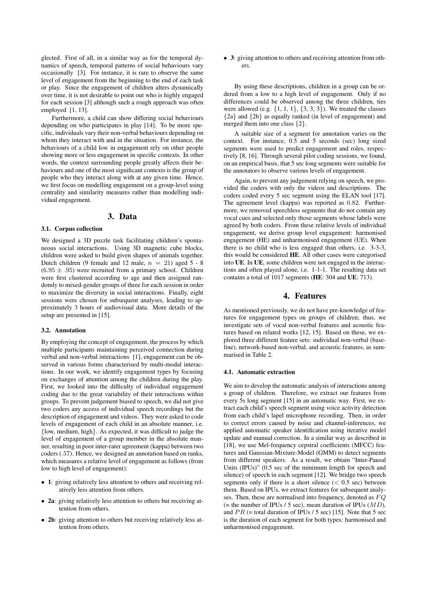glected. First of all, in a similar way as for the temporal dynamics of speech, temporal patterns of social behaviours vary occasionally [3]. For instance, it is rare to observe the same level of engagement from the beginning to the end of each task or play. Since the engagement of children alters dynamically over time, it is not desirable to point out who is highly engaged for each session [3] although such a rough approach was often employed [1, 13].

Furthermore, a child can show differing social behaviours depending on who participates in play [14]. To be more specific, individuals vary their non-verbal behaviours depending on whom they interact with and in the situation. For instance, the behaviours of a child low in engagement rely on other people showing more or less engagement in specific contexts. In other words, the context surrounding people greatly affects their behaviours and one of the most significant contexts is the group of people who they interact along with at any given time. Hence, we first focus on modelling engagement on a group-level using centrality and similarity measures rather than modelling individual engagement.

### 3. Data

### 3.1. Corpus collection

We designed a 3D puzzle task facilitating children's spontaneous social interactions. Using 3D magnetic cube blocks, children were asked to build given shapes of animals together. Dutch children (9 female and 12 male,  $n = 21$ ) aged 5 - 8  $(6.95 \pm .95)$  were recruited from a primary school. Children were first clustered according to age and then assigned randomly to mixed-gender groups of three for each session in order to maximize the diversity in social interactions. Finally, eight sessions were chosen for subsequent analyses, leading to approximately 3 hours of audiovisual data. More details of the setup are presented in [15].

#### 3.2. Annotation

By employing the concept of engagement, the process by which multiple participants maintaining perceived connection during verbal and non-verbal interactions [1], engagement can be observed in various forms characterised by multi-modal interactions. In our work, we identify engagement types by focusing on exchanges of attention among the children during the play. First, we looked into the difficulty of individual engagement coding due to the great variability of their interactions within groups. To prevent judgement biased to speech, we did not give two coders any access of individual speech recordings but the description of engagement and videos. They were asked to code levels of engagement of each child in an absolute manner, i.e. {low, medium, high}. As expected, it was difficult to judge the level of engagement of a group member in the absolute manner, resulting in poor inter-rater agreement (kappa) between two coders (.57). Hence, we designed an annotation based on ranks, which measures a relative level of engagement as follows (from low to high level of engagement):

- 1: giving relatively less attention to others and receiving relatively less attention from others.
- 2a: giving relatively less attention to others but receiving attention from others.
- 2b: giving attention to others but receiving relatively less attention from others.

• 3: giving attention to others and receiving attention from others.

By using these descriptions, children in a group can be ordered from a low to a high level of engagement. Only if no differences could be observed among the three children, ties were allowed (e.g.  $\{1, 1, 1\}$ ,  $\{3, 3, 3\}$ ). We treated the classes {2a} and {2b} as equally ranked (in level of engagement) and merged them into one class {2}.

A suitable size of a segment for annotation varies on the context. For instance, 0.5 and 5 seconds (sec) long sized segments were used to predict engagement and roles, respectively [8, 16]. Through several pilot coding sessions, we found, on an empirical basis, that 5 sec long segments were suitable for the annotators to observe various levels of engagement.

Again, to prevent any judgement relying on speech, we provided the coders with only the videos and descriptions. The coders coded every 5 sec segment using the ELAN tool [17]. The agreement level (kappa) was reported as 0.82. Furthermore, we removed speechless segments that do not contain any vocal cues and selected only those segments whose labels were agreed by both coders. From these relative levels of individual engagement, we derive group level engagement: harmonised engagement (HE) and unharmonised engagement (UE). When there is no child who is less engaged than others, i.e. 3-3-3, this would be considered HE. All other cases were categorised into UE. In UE, some children were not engaged in the interactions and often played alone, i.e. 1-1-1. The resulting data set contains a total of 1017 segments (HE: 304 and UE: 713).

# 4. Features

As mentioned previously, we do not have pre-knowledge of features for engagement types on groups of children; thus, we investigate sets of vocal non-verbal features and acoustic features based on related works [12, 15]. Based on these, we explored three different feature sets: individual non-verbal (baseline), network-based non-verbal, and acoustic features, as summarised in Table 2.

### 4.1. Automatic extraction

We aim to develop the automatic analysis of interactions among a group of children. Therefore, we extract our features from every 5s long segment [15] in an automatic way. First, we extract each child's speech segment using voice activity detection from each child's lapel microphone recording. Then, in order to correct errors caused by noise and channel-inferences, we applied automatic speaker identification using iterative model update and manual correction. In a similar way as described in [18], we use Mel-frequency cepstral coefficients (MFCC) features and Gaussian-Mixture-Model (GMM) to detect segments from different speakers. As a result, we obtain "Inter-Pausal Units (IPUs)" (0.5 sec of the minimum length for speech and silence) of speech in each segment [12]. We bridge two speech segments only if there is a short silence  $(< 0.5 \text{ sec})$  between them. Based on IPUs, we extract features for subsequent analyses. Then, these are normalised into frequency, denoted as  $FQ$ (= the number of IPUs / 5 sec), mean duration of IPUs  $(MD)$ , and  $PR$  (= total duration of IPUs / 5 sec) [15]. Note that 5 sec is the duration of each segment for both types: harmonised and unharmonised engagement.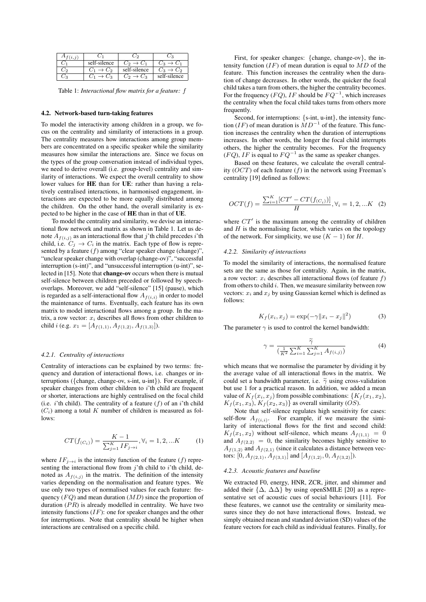| self-silence     | $C_2 \rightarrow C_1$ | $\rightarrow C_1$ |
|------------------|-----------------------|-------------------|
| $\rightarrow$ Co | self-silence          | С,<br>$\sqrt{3}$  |
| $\cdot C_2$      | $C_2 \rightarrow C_3$ | self-silence      |

Table 1: *Interactional flow matrix for a feature:* f

#### 4.2. Network-based turn-taking features

To model the interactivity among children in a group, we focus on the centrality and similarity of interactions in a group. The centrality measures how interactions among group members are concentrated on a specific speaker while the similarity measures how similar the interactions are. Since we focus on the types of the group conversation instead of individual types, we need to derive overall (i.e. group-level) centrality and similarity of interactions. We expect the overall centrality to show lower values for HE than for UE: rather than having a relatively centralised interactions, in harmonised engagement, interactions are expected to be more equally distributed among the children. On the other hand, the overall similarity is expected to be higher in the case of HE than in that of UE.

To model the centrality and similarity, we devise an interactional flow network and matrix as shown in Table 1. Let us denote  $A_{f(i,j)}$  as an interactional flow that j'th child precedes i'th child, i.e.  $C_j \rightarrow C_i$  in the matrix. Each type of flow is represented by a feature  $(f)$  among "clear speaker change (change)", "unclear speaker change with overlap (change-ov)", "successful interruption (s-int)", and "unsuccessful interruption (u-int)", selected in [15]. Note that **change-ov** occurs when there is mutual self-silence between children preceded or followed by speechoverlaps. Moreover, we add "self-silence" [15] (pause), which is regarded as a self-interactional flow  $A_{f(i,i)}$  in order to model the maintenance of turns. Eventually, each feature has its own matrix to model interactional flows among a group. In the matrix, a row vector:  $x_i$  describes all flows from other children to child i (e.g.  $x_1 = [A_{f(1,1)}, A_{f(1,2)}, A_{f(1,3)}].$ 

### *4.2.1. Centrality of interactions*

Centrality of interactions can be explained by two terms: frequency and duration of interactional flows, i.e. changes or interruptions ({change, change-ov, s-int, u-int}). For example, if speaker changes from other children to i'th child are frequent or shorter, interactions are highly centralised on the focal child (i.e. i'th child). The centrality of a feature  $(f)$  of an i'th child  $(C_i)$  among a total K number of children is measured as follows:

$$
CT(f_{(C_i)}) = \frac{K-1}{\sum_{j=1}^{K} IF_{j \to i}}, \forall i = 1, 2, ... K
$$
 (1)

where  $IF_{j\rightarrow i}$  is the intensity function of the feature (f) representing the interactional flow from  $i$ 'th child to  $i$ 'th child, denoted as  $A_{f(i,j)}$  in the matrix. The definition of the intensity varies depending on the normalisation and feature types. We use only two types of normalised values for each feature: frequency  $(FQ)$  and mean duration  $(MD)$  since the proportion of duration  $(PR)$  is already modelled in centrality. We have two intensity functions  $(IF)$ : one for speaker changes and the other for interruptions. Note that centrality should be higher when interactions are centralised on a specific child.

First, for speaker changes: {change, change-ov}, the intensity function  $(IF)$  of mean duration is equal to  $MD$  of the feature. This function increases the centrality when the duration of change decreases. In other words, the quicker the focal child takes a turn from others, the higher the centrality becomes. For the frequency ( $FQ$ ),  $IF$  should be  $FQ^{-1}$ , which increases the centrality when the focal child takes turns from others more frequently.

Second, for interruptions: {s-int, u-int}, the intensity function (IF) of mean duration is  $\dot{M}D^{-1}$  of the feature. This function increases the centrality when the duration of interruptions increases. In other words, the longer the focal child interrupts others, the higher the centrality becomes. For the frequency  $(FQ)$ , IF is equal to  $FQ^{-1}$  as the same as speaker changes.

Based on these features, we calculate the overall centrality  $(OCT)$  of each feature  $(f)$  in the network using Freeman's centrality [19] defined as follows:

$$
OCT(f) = \frac{\sum_{i=1}^{K} [CT' - CT(f_{(C_i)})]}{H}, \forall i = 1, 2, ... K \quad (2)
$$

where  $CT'$  is the maximum among the centrality of children and  $H$  is the normalising factor, which varies on the topology of the network. For simplicity, we use  $(K - 1)$  for H.

#### *4.2.2. Similarity of interactions*

To model the similarity of interactions, the normalised feature sets are the same as those for centrality. Again, in the matrix, a row vector:  $x_i$  describes all interactional flows (of feature  $f$ ) from others to child  $i$ . Then, we measure similarity between row vectors:  $x_i$  and  $x_j$  by using Gaussian kernel which is defined as follows:

$$
K_f(x_i, x_j) = \exp(-\gamma \|x_i - x_j\|^2)
$$
 (3)

The parameter  $\gamma$  is used to control the kernel bandwidth:

$$
\gamma = \frac{\tilde{\gamma}}{\left(\frac{1}{K^2} \sum_{i=1}^K \sum_{j=1}^K A_{f(i,j)}\right)}\tag{4}
$$

which means that we normalise the parameter by dividing it by the average value of all interactional flows in the matrix. We could set a bandwidth parameter, i.e.  $\tilde{\gamma}$  using cross-validation but use 1 for a practical reason. In addition, we added a mean value of  $K_f(x_i, x_j)$  from possible combinations:  $\{K_f(x_1, x_2),$  $K_f(x_1, x_3), K_f(x_2, x_3)$  as overall similarity (OS).

Note that self-silence regulates high sensitivity for cases: self-flow  $A_{f(i,i)}$ . For example, if we measure the similarity of interactional flows for the first and second child:  $K_f(x_1, x_2)$  without self-silence, which means  $A_{f(1,1)} = 0$ and  $A_{f(2,2)} = 0$ , the similarity becomes highly sensitive to  $A_{f(1,2)}$  and  $A_{f(2,1)}$  (since it calculates a distance between vectors:  $[0, A_{f(2,1)}, A_{f(3,1)}]$  and  $[A_{f(1,2)}, 0, A_{f(3,2)}]$ ).

#### *4.2.3. Acoustic features and baseline*

We extracted F0, energy, HNR, ZCR, jitter, and shimmer and added their  $\{\Delta, \Delta\Delta\}$  by using openSMILE [20] as a representative set of acoustic cues of social behaviours [11]. For these features, we cannot use the centrality or similarity measures since they do not have interactional flows. Instead, we simply obtained mean and standard deviation (SD) values of the feature vectors for each child as individual features. Finally, for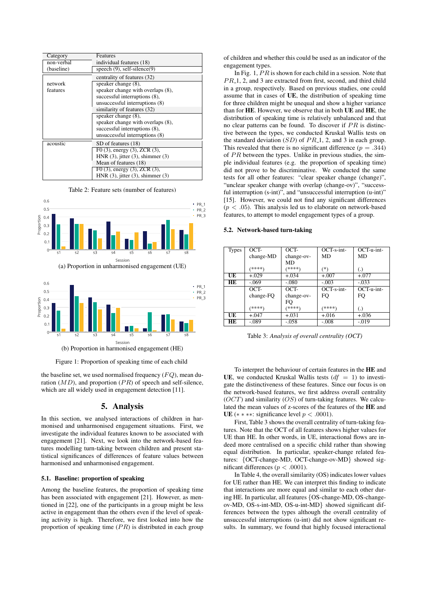| Category   | Features                                 |  |
|------------|------------------------------------------|--|
| non-verbal | individual features (18)                 |  |
| (baseline) | speech $(9)$ , self-silence $(9)$        |  |
|            | centrality of features (32)              |  |
| network    | speaker change $(8)$ ,                   |  |
| features   | speaker change with overlaps (8),        |  |
|            | successful interruptions (8),            |  |
|            | unsuccessful interruptions (8)           |  |
|            | similarity of features (32)              |  |
|            | speaker change (8),                      |  |
|            | speaker change with overlaps (8),        |  |
|            | successful interruptions (8),            |  |
|            | unsuccessful interruptions (8)           |  |
| acoustic   | SD of features (18)                      |  |
|            | F0 $(3)$ , energy $(3)$ , ZCR $(3)$ ,    |  |
|            | HNR $(3)$ , jitter $(3)$ , shimmer $(3)$ |  |
|            | Mean of features (18)                    |  |
|            | F0 $(3)$ , energy $(3)$ , ZCR $(3)$ ,    |  |
|            | HNR $(3)$ , jitter $(3)$ , shimmer $(3)$ |  |

Table 2: Feature sets (number of features)



(a) Proportion in unharmonised engagement (UE)



Figure 1: Proportion of speaking time of each child

the baseline set, we used normalised frequency  $(FQ)$ , mean duration  $(MD)$ , and proportion  $(PR)$  of speech and self-silence, which are all widely used in engagement detection [11].

# 5. Analysis

In this section, we analysed interactions of children in harmonised and unharmonised engagement situations. First, we investigate the individual features known to be associated with engagement [21]. Next, we look into the network-based features modelling turn-taking between children and present statistical significances of differences of feature values between harmonised and unharmonised engagement.

### 5.1. Baseline: proportion of speaking

Among the baseline features, the proportion of speaking time has been associated with engagement [21]. However, as mentioned in [22], one of the participants in a group might be less active in engagement than the others even if the level of speaking activity is high. Therefore, we first looked into how the proportion of speaking time  $(PR)$  is distributed in each group of children and whether this could be used as an indicator of the engagement types.

In Fig. 1,  $PR$  is shown for each child in a session. Note that  $PR_1$ , 2, and 3 are extracted from first, second, and third child in a group, respectively. Based on previous studies, one could assume that in cases of UE, the distribution of speaking time for three children might be unequal and show a higher variance than for HE. However, we observe that in both UE and HE, the distribution of speaking time is relatively unbalanced and that no clear patterns can be found. To discover if  $PR$  is distinctive between the types, we conducted Kruskal Wallis tests on the standard deviation  $(SD)$  of  $PR_{-1}$ , 2, and 3 in each group. This revealed that there is no significant difference ( $p = .344$ ) of  $PR$  between the types. Unlike in previous studies, the simple individual features (e.g. the proportion of speaking time) did not prove to be discriminative. We conducted the same tests for all other features: "clear speaker change (change)", "unclear speaker change with overlap (change-ov)", "successful interruption (s-int)", and "unsuccessful interruption (u-int)" [15]. However, we could not find any significant differences  $(p < .05)$ . This analysis led us to elaborate on network-based features, to attempt to model engagement types of a group.

#### 5.2. Network-based turn-taking

| <b>Types</b> | OCT-      | OCT-       | OCT-s-int-   | $OCT$ -u-int-     |
|--------------|-----------|------------|--------------|-------------------|
|              | change-MD | change-ov- | MD           | MD                |
|              |           | MD         |              |                   |
|              | (****)    | (****)     | $(*)$        | $\left( .\right)$ |
| UE           | $+.029$   | $+.034$    | $+.007$      | $+.077$           |
| HE           | $-.069$   | $-.080$    | $-.003$      | $-.033$           |
|              | $OCT-$    | OCT-       | $OCT-s-int-$ | OCT-u-int-        |
|              | change-FQ | change-ov- | FO           | FO                |
|              |           | FO         |              |                   |
|              | (****)    | (****)     | (****)       | $\left( .\right)$ |
| UE           | $+.047$   | $+.031$    | $+.016$      | $+.036$           |
| HЕ           | $-.089$   | $-.058$    | $-.008$      | $-.019$           |

Table 3: *Analysis of overall centrality (OCT)*

To interpret the behaviour of certain features in the HE and UE, we conducted Kruskal Wallis tests  $(df = 1)$  to investigate the distinctiveness of these features. Since our focus is on the network-based features, we first address overall centrality  $(OCT)$  and similarity  $(OS)$  of turn-taking features. We calculated the mean values of z-scores of the features of the HE and UE (\* \* \*\*: significance level  $p < .0001$ ).

First, Table 3 shows the overall centrality of turn-taking features. Note that the OCT of all features shows higher values for UE than HE. In other words, in UE, interactional flows are indeed more centralised on a specific child rather than showing equal distribution. In particular, speaker-change related features: {OCT-change-MD, OCT-change-ov-MD} showed significant differences ( $p < .0001$ ).

In Table 4, the overall similarity (OS) indicates lower values for UE rather than HE. We can interpret this finding to indicate that interactions are more equal and similar to each other during HE. In particular, all features {OS-change-MD, OS-changeov-MD, OS-s-int-MD, OS-u-int-MD} showed significant differences between the types although the overall centrality of unsuccessful interruptions (u-int) did not show significant results. In summary, we found that highly focused interactional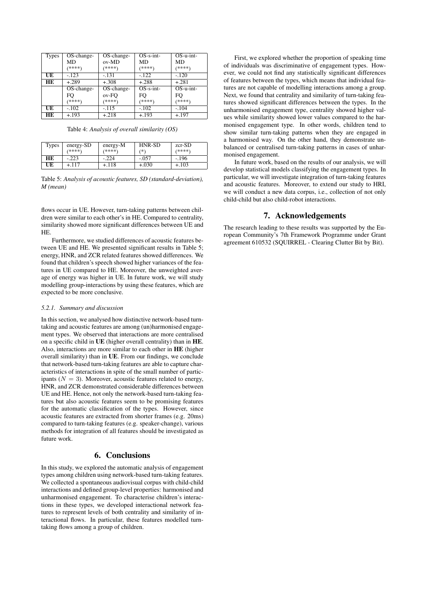| <b>Types</b> | OS-change-                        | OS-change- | $OS-s-int-$ | $OS$ -u-int- |
|--------------|-----------------------------------|------------|-------------|--------------|
|              | MD                                | ov-MD      | MD          | MD           |
|              | (****)                            | ****)      | (****)      | (****)       |
| UE           | $-.123$                           | $-.131$    | $-122$      | $-.120$      |
| HE           | $+.289$                           | $+.308$    | $+.288$     | $+.281$      |
|              | $\overline{\mathrm{OS}}$ -change- | OS-change- | $OS-s-int-$ | $OS-u-int-$  |
|              | FO                                | ov-FO      | FO          | FO           |
|              | (米米米米)                            | ****)      | (冰冰冰水)      | (****)       |
| UE           | $-.102$                           | $-115$     | $-.102$     | $-.104$      |
| HЕ           | $+.193$                           | $+.218$    | $+.193$     | $+.197$      |

Table 4: *Analysis of overall similarity (OS)*

| Types     | energy-SD | energy-M | HNR-SD  | $zcr$ -SD |
|-----------|-----------|----------|---------|-----------|
|           | (****)    | ****)    | (米)     | (****)    |
| <b>HE</b> | $-.223$   | $-.224$  | $-.057$ | $-196$    |
| UE        | +.117     | +.118    | $+.030$ | +.103     |

Table 5: *Analysis of acoustic features, SD (standard-deviation), M (mean)*

flows occur in UE. However, turn-taking patterns between children were similar to each other's in HE. Compared to centrality, similarity showed more significant differences between UE and HE.

Furthermore, we studied differences of acoustic features between UE and HE. We presented significant results in Table 5; energy, HNR, and ZCR related features showed differences. We found that children's speech showed higher variances of the features in UE compared to HE. Moreover, the unweighted average of energy was higher in UE. In future work, we will study modelling group-interactions by using these features, which are expected to be more conclusive.

### *5.2.1. Summary and discussion*

In this section, we analysed how distinctive network-based turntaking and acoustic features are among (un)harmonised engagement types. We observed that interactions are more centralised on a specific child in UE (higher overall centrality) than in HE. Also, interactions are more similar to each other in HE (higher overall similarity) than in UE. From our findings, we conclude that network-based turn-taking features are able to capture characteristics of interactions in spite of the small number of participants ( $N = 3$ ). Moreover, acoustic features related to energy, HNR, and ZCR demonstrated considerable differences between UE and HE. Hence, not only the network-based turn-taking features but also acoustic features seem to be promising features for the automatic classification of the types. However, since acoustic features are extracted from shorter frames (e.g. 20ms) compared to turn-taking features (e.g. speaker-change), various methods for integration of all features should be investigated as future work.

# 6. Conclusions

In this study, we explored the automatic analysis of engagement types among children using network-based turn-taking features. We collected a spontaneous audiovisual corpus with child-child interactions and defined group-level properties: harmonised and unharmonised engagement. To characterise children's interactions in these types, we developed interactional network features to represent levels of both centrality and similarity of interactional flows. In particular, these features modelled turntaking flows among a group of children.

First, we explored whether the proportion of speaking time of individuals was discriminative of engagement types. However, we could not find any statistically significant differences of features between the types, which means that individual features are not capable of modelling interactions among a group. Next, we found that centrality and similarity of turn-taking features showed significant differences between the types. In the unharmonised engagement type, centrality showed higher values while similarity showed lower values compared to the harmonised engagement type. In other words, children tend to show similar turn-taking patterns when they are engaged in a harmonised way. On the other hand, they demonstrate unbalanced or centralised turn-taking patterns in cases of unharmonised engagement.

In future work, based on the results of our analysis, we will develop statistical models classifying the engagement types. In particular, we will investigate integration of turn-taking features and acoustic features. Moreover, to extend our study to HRI, we will conduct a new data corpus, i.e., collection of not only child-child but also child-robot interactions.

# 7. Acknowledgements

The research leading to these results was supported by the European Community's 7th Framework Programme under Grant agreement 610532 (SQUIRREL - Clearing Clutter Bit by Bit).